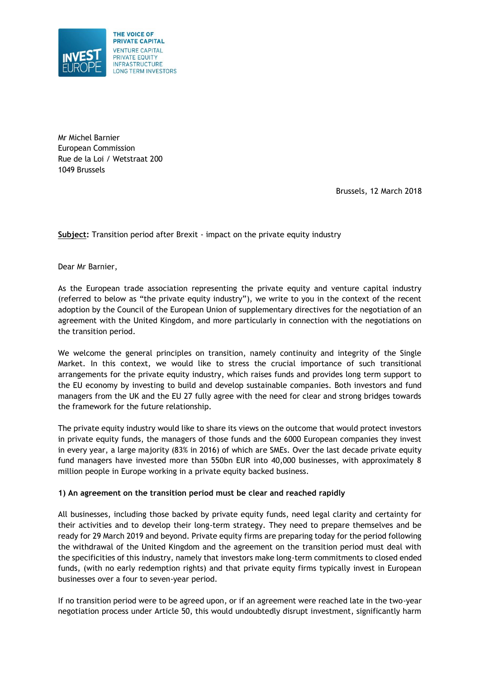

Mr Michel Barnier European Commission Rue de la Loi / Wetstraat 200 1049 Brussels

Brussels, 12 March 2018

**Subject:** Transition period after Brexit - impact on the private equity industry

Dear Mr Barnier,

As the European trade association representing the private equity and venture capital industry (referred to below as "the private equity industry"), we write to you in the context of the recent adoption by the Council of the European Union of supplementary directives for the negotiation of an agreement with the United Kingdom, and more particularly in connection with the negotiations on the transition period.

We welcome the general principles on transition, namely continuity and integrity of the Single Market. In this context, we would like to stress the crucial importance of such transitional arrangements for the private equity industry, which raises funds and provides long term support to the EU economy by investing to build and develop sustainable companies. Both investors and fund managers from the UK and the EU 27 fully agree with the need for clear and strong bridges towards the framework for the future relationship.

The private equity industry would like to share its views on the outcome that would protect investors in private equity funds, the managers of those funds and the 6000 European companies they invest in every year, a large majority (83% in 2016) of which are SMEs. Over the last decade private equity fund managers have invested more than 550bn EUR into 40,000 businesses, with approximately 8 million people in Europe working in a private equity backed business.

## **1) An agreement on the transition period must be clear and reached rapidly**

All businesses, including those backed by private equity funds, need legal clarity and certainty for their activities and to develop their long-term strategy. They need to prepare themselves and be ready for 29 March 2019 and beyond. Private equity firms are preparing today for the period following the withdrawal of the United Kingdom and the agreement on the transition period must deal with the specificities of this industry, namely that investors make long-term commitments to closed ended funds, (with no early redemption rights) and that private equity firms typically invest in European businesses over a four to seven-year period.

If no transition period were to be agreed upon, or if an agreement were reached late in the two-year negotiation process under Article 50, this would undoubtedly disrupt investment, significantly harm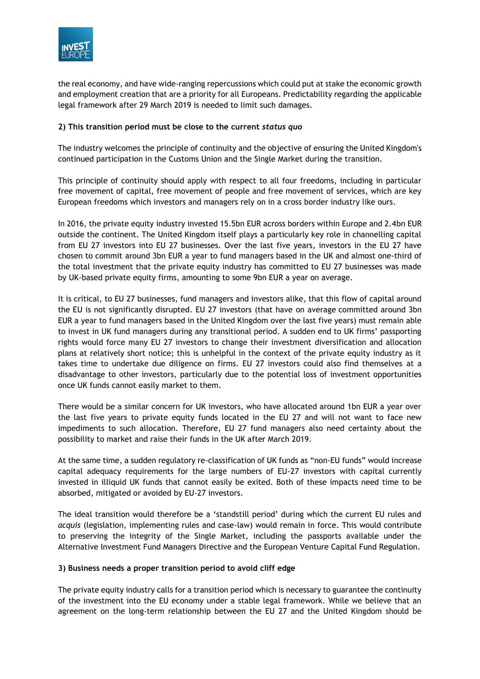

the real economy, and have wide-ranging repercussions which could put at stake the economic growth and employment creation that are a priority for all Europeans. Predictability regarding the applicable legal framework after 29 March 2019 is needed to limit such damages.

## **2) This transition period must be close to the current** *status quo*

The industry welcomes the principle of continuity and the objective of ensuring the United Kingdom's continued participation in the Customs Union and the Single Market during the transition.

This principle of continuity should apply with respect to all four freedoms, including in particular free movement of capital, free movement of people and free movement of services, which are key European freedoms which investors and managers rely on in a cross border industry like ours.

In 2016, the private equity industry invested 15.5bn EUR across borders within Europe and 2.4bn EUR outside the continent. The United Kingdom itself plays a particularly key role in channelling capital from EU 27 investors into EU 27 businesses. Over the last five years, investors in the EU 27 have chosen to commit around 3bn EUR a year to fund managers based in the UK and almost one-third of the total investment that the private equity industry has committed to EU 27 businesses was made by UK-based private equity firms, amounting to some 9bn EUR a year on average.

It is critical, to EU 27 businesses, fund managers and investors alike, that this flow of capital around the EU is not significantly disrupted. EU 27 investors (that have on average committed around 3bn EUR a year to fund managers based in the United Kingdom over the last five years) must remain able to invest in UK fund managers during any transitional period. A sudden end to UK firms' passporting rights would force many EU 27 investors to change their investment diversification and allocation plans at relatively short notice; this is unhelpful in the context of the private equity industry as it takes time to undertake due diligence on firms. EU 27 investors could also find themselves at a disadvantage to other investors, particularly due to the potential loss of investment opportunities once UK funds cannot easily market to them.

There would be a similar concern for UK investors, who have allocated around 1bn EUR a year over the last five years to private equity funds located in the EU 27 and will not want to face new impediments to such allocation. Therefore, EU 27 fund managers also need certainty about the possibility to market and raise their funds in the UK after March 2019.

At the same time, a sudden regulatory re-classification of UK funds as "non-EU funds" would increase capital adequacy requirements for the large numbers of EU-27 investors with capital currently invested in illiquid UK funds that cannot easily be exited. Both of these impacts need time to be absorbed, mitigated or avoided by EU-27 investors.

The ideal transition would therefore be a 'standstill period' during which the current EU rules and *acquis* (legislation, implementing rules and case-law) would remain in force. This would contribute to preserving the integrity of the Single Market, including the passports available under the Alternative Investment Fund Managers Directive and the European Venture Capital Fund Regulation.

## **3) Business needs a proper transition period to avoid cliff edge**

The private equity industry calls for a transition period which is necessary to guarantee the continuity of the investment into the EU economy under a stable legal framework. While we believe that an agreement on the long-term relationship between the EU 27 and the United Kingdom should be